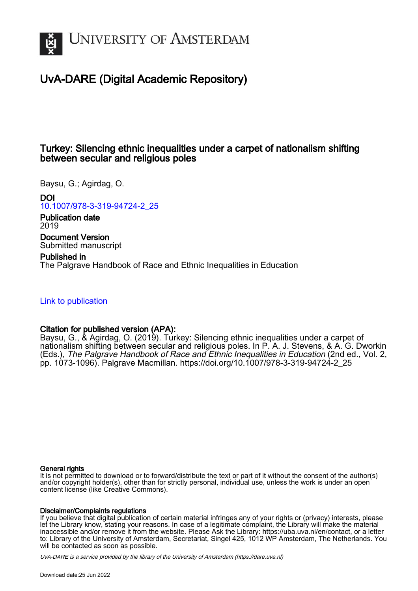

## UvA-DARE (Digital Academic Repository)

## Turkey: Silencing ethnic inequalities under a carpet of nationalism shifting between secular and religious poles

Baysu, G.; Agirdag, O.

## DOI

[10.1007/978-3-319-94724-2\\_25](https://doi.org/10.1007/978-3-319-94724-2_25)

Publication date 2019

Document Version Submitted manuscript

Published in

The Palgrave Handbook of Race and Ethnic Inequalities in Education

[Link to publication](https://dare.uva.nl/personal/pure/en/publications/turkey-silencing-ethnic-inequalities-under-a-carpet-of-nationalism-shifting-between-secular-and-religious-poles(e8703cba-bf90-4918-8781-a97a09c90fc3).html)

## Citation for published version (APA):

Baysu, G., & Agirdag, O. (2019). Turkey: Silencing ethnic inequalities under a carpet of nationalism shifting between secular and religious poles. In P. A. J. Stevens, & A. G. Dworkin (Eds.), The Palgrave Handbook of Race and Ethnic Inequalities in Education (2nd ed., Vol. 2, pp. 1073-1096). Palgrave Macmillan. [https://doi.org/10.1007/978-3-319-94724-2\\_25](https://doi.org/10.1007/978-3-319-94724-2_25)

#### General rights

It is not permitted to download or to forward/distribute the text or part of it without the consent of the author(s) and/or copyright holder(s), other than for strictly personal, individual use, unless the work is under an open content license (like Creative Commons).

#### Disclaimer/Complaints regulations

If you believe that digital publication of certain material infringes any of your rights or (privacy) interests, please let the Library know, stating your reasons. In case of a legitimate complaint, the Library will make the material inaccessible and/or remove it from the website. Please Ask the Library: https://uba.uva.nl/en/contact, or a letter to: Library of the University of Amsterdam, Secretariat, Singel 425, 1012 WP Amsterdam, The Netherlands. You will be contacted as soon as possible.

UvA-DARE is a service provided by the library of the University of Amsterdam (http*s*://dare.uva.nl)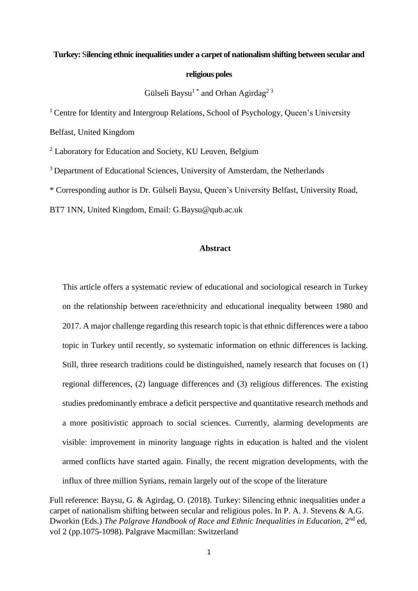# **Turkey:** S**ilencing ethnic inequalities under a carpet of nationalism shifting between secular and religious poles**

Gülseli Baysu<sup>1</sup><sup>\*</sup> and Orhan Agirdag<sup>23</sup>

<sup>1</sup> Centre for Identity and Intergroup Relations, School of Psychology, Queen's University

Belfast, United Kingdom

<sup>2</sup> Laboratory for Education and Society, KU Leuven, Belgium

<sup>3</sup> Department of Educational Sciences, University of Amsterdam, the Netherlands

\* Corresponding author is Dr. Gülseli Baysu, Queen's University Belfast, University Road,

BT7 1NN, United Kingdom, Email: G.Baysu@qub.ac.uk

#### **Abstract**

This article offers a systematic review of educational and sociological research in Turkey on the relationship between race/ethnicity and educational inequality between 1980 and 2017. A major challenge regarding this research topic is that ethnic differences were a taboo topic in Turkey until recently, so systematic information on ethnic differences is lacking. Still, three research traditions could be distinguished, namely research that focuses on (1) regional differences, (2) language differences and (3) religious differences. The existing studies predominantly embrace a deficit perspective and quantitative research methods and a more positivistic approach to social sciences. Currently, alarming developments are visible: improvement in minority language rights in education is halted and the violent armed conflicts have started again. Finally, the recent migration developments, with the influx of three million Syrians, remain largely out of the scope of the literature

Full reference: Baysu, G. & Agirdag, O. (2018). Turkey: Silencing ethnic inequalities under a carpet of nationalism shifting between secular and religious poles. In P. A. J. Stevens & A.G. Dworkin (Eds.) *The Palgrave Handbook of Race and Ethnic Inequalities in Education*, 2nd ed, vol 2 (pp.1075-1098). Palgrave Macmillan: Switzerland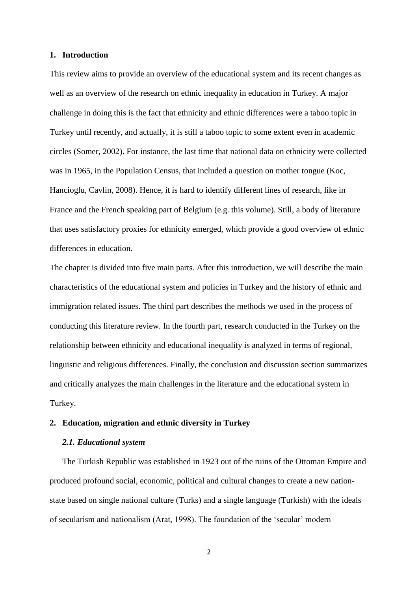#### **1. Introduction**

This review aims to provide an overview of the educational system and its recent changes as well as an overview of the research on ethnic inequality in education in Turkey. A major challenge in doing this is the fact that ethnicity and ethnic differences were a taboo topic in Turkey until recently, and actually, it is still a taboo topic to some extent even in academic circles (Somer, 2002). For instance, the last time that national data on ethnicity were collected was in 1965, in the Population Census, that included a question on mother tongue (Koc, Hancioglu, Cavlin, 2008). Hence, it is hard to identify different lines of research, like in France and the French speaking part of Belgium (e.g. this volume). Still, a body of literature that uses satisfactory proxies for ethnicity emerged, which provide a good overview of ethnic differences in education.

The chapter is divided into five main parts. After this introduction, we will describe the main characteristics of the educational system and policies in Turkey and the history of ethnic and immigration related issues. The third part describes the methods we used in the process of conducting this literature review. In the fourth part, research conducted in the Turkey on the relationship between ethnicity and educational inequality is analyzed in terms of regional, linguistic and religious differences. Finally, the conclusion and discussion section summarizes and critically analyzes the main challenges in the literature and the educational system in Turkey.

#### **2. Education, migration and ethnic diversity in Turkey**

## *2.1. Educational system*

The Turkish Republic was established in 1923 out of the ruins of the Ottoman Empire and produced profound social, economic, political and cultural changes to create a new nationstate based on single national culture (Turks) and a single language (Turkish) with the ideals of secularism and nationalism (Arat, 1998). The foundation of the 'secular' modern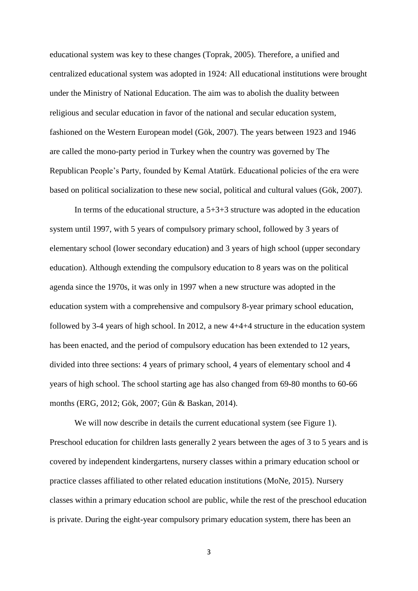educational system was key to these changes (Toprak, 2005). Therefore, a unified and centralized educational system was adopted in 1924: All educational institutions were brought under the Ministry of National Education. The aim was to abolish the duality between religious and secular education in favor of the national and secular education system, fashioned on the Western European model (Gök, 2007). The years between 1923 and 1946 are called the mono-party period in Turkey when the country was governed by The Republican People's Party, founded by Kemal Atatürk. Educational policies of the era were based on political socialization to these new social, political and cultural values (Gök, 2007).

In terms of the educational structure, a  $5+3+3$  structure was adopted in the education system until 1997, with 5 years of compulsory primary school, followed by 3 years of elementary school (lower secondary education) and 3 years of high school (upper secondary education). Although extending the compulsory education to 8 years was on the political agenda since the 1970s, it was only in 1997 when a new structure was adopted in the education system with a comprehensive and compulsory 8-year primary school education, followed by 3-4 years of high school. In 2012, a new 4+4+4 structure in the education system has been enacted, and the period of compulsory education has been extended to 12 years, divided into three sections: 4 years of primary school, 4 years of elementary school and 4 years of high school. The school starting age has also changed from 69-80 months to 60-66 months (ERG, 2012; Gök, 2007; Gün & Baskan, 2014).

We will now describe in details the current educational system (see Figure 1). Preschool education for children lasts generally 2 years between the ages of 3 to 5 years and is covered by independent kindergartens, nursery classes within a primary education school or practice classes affiliated to other related education institutions (MoNe, 2015). Nursery classes within a primary education school are public, while the rest of the preschool education is private. During the eight-year compulsory primary education system, there has been an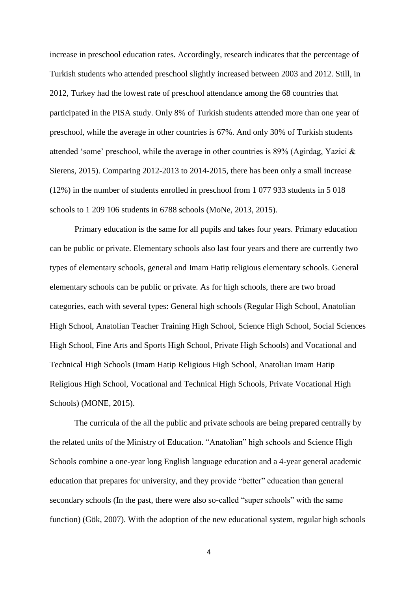increase in preschool education rates. Accordingly, research indicates that the percentage of Turkish students who attended preschool slightly increased between 2003 and 2012. Still, in 2012, Turkey had the lowest rate of preschool attendance among the 68 countries that participated in the PISA study. Only 8% of Turkish students attended more than one year of preschool, while the average in other countries is 67%. And only 30% of Turkish students attended 'some' preschool, while the average in other countries is  $89\%$  (Agirdag, Yazici & Sierens, 2015). Comparing 2012-2013 to 2014-2015, there has been only a small increase (12%) in the number of students enrolled in preschool from 1 077 933 students in 5 018 schools to 1 209 106 students in 6788 schools (MoNe, 2013, 2015).

Primary education is the same for all pupils and takes four years. Primary education can be public or private. Elementary schools also last four years and there are currently two types of elementary schools, general and Imam Hatip religious elementary schools. General elementary schools can be public or private. As for high schools, there are two broad categories, each with several types: General high schools (Regular High School, Anatolian High School, Anatolian Teacher Training High School, Science High School, Social Sciences High School, Fine Arts and Sports High School, Private High Schools) and Vocational and Technical High Schools (Imam Hatip Religious High School, Anatolian Imam Hatip Religious High School, Vocational and Technical High Schools, Private Vocational High Schools) (MONE, 2015).

The curricula of the all the public and private schools are being prepared centrally by the related units of the Ministry of Education. "Anatolian" high schools and Science High Schools combine a one-year long English language education and a 4-year general academic education that prepares for university, and they provide "better" education than general secondary schools (In the past, there were also so-called "super schools" with the same function) (Gök, 2007). With the adoption of the new educational system, regular high schools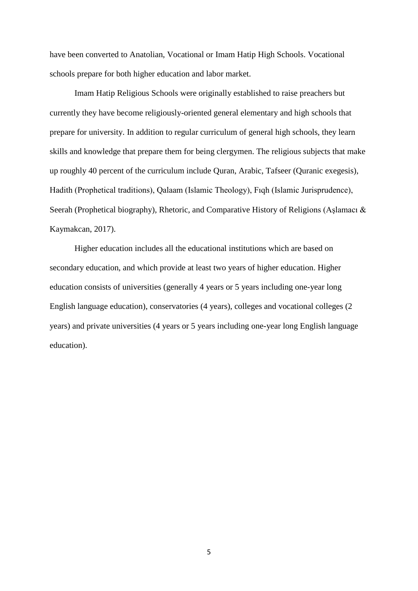have been converted to Anatolian, Vocational or Imam Hatip High Schools. Vocational schools prepare for both higher education and labor market.

Imam Hatip Religious Schools were originally established to raise preachers but currently they have become religiously-oriented general elementary and high schools that prepare for university. In addition to regular curriculum of general high schools, they learn skills and knowledge that prepare them for being clergymen. The religious subjects that make up roughly 40 percent of the curriculum include Quran, Arabic, Tafseer (Quranic exegesis), Hadith (Prophetical traditions), Qalaam (Islamic Theology), Fıqh (Islamic Jurisprudence), Seerah (Prophetical biography), Rhetoric, and Comparative History of Religions (Aşlamacı & Kaymakcan, 2017).

Higher education includes all the educational institutions which are based on secondary education, and which provide at least two years of higher education. Higher education consists of universities (generally 4 years or 5 years including one-year long English language education), conservatories (4 years), colleges and vocational colleges (2 years) and private universities (4 years or 5 years including one-year long English language education).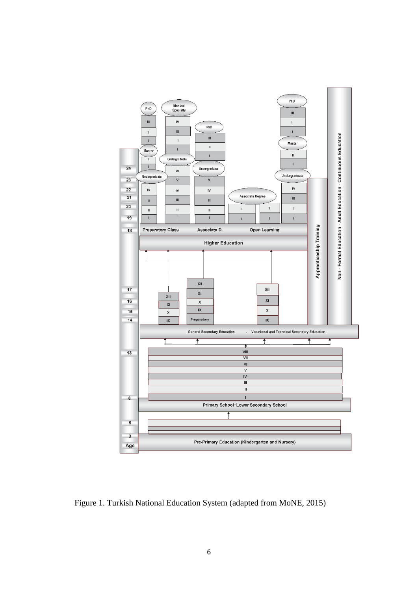

Figure 1. Turkish National Education System (adapted from MoNE, 2015)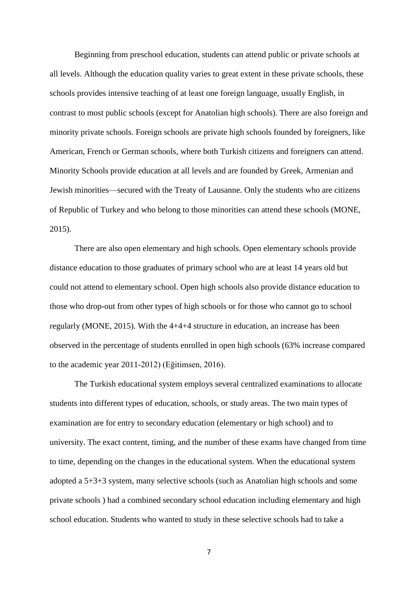Beginning from preschool education, students can attend public or private schools at all levels. Although the education quality varies to great extent in these private schools, these schools provides intensive teaching of at least one foreign language, usually English, in contrast to most public schools (except for Anatolian high schools). There are also foreign and minority private schools. Foreign schools are private high schools founded by foreigners, like American, French or German schools, where both Turkish citizens and foreigners can attend. Minority Schools provide education at all levels and are founded by Greek, Armenian and Jewish minorities—secured with the Treaty of Lausanne. Only the students who are citizens of Republic of Turkey and who belong to those minorities can attend these schools (MONE, 2015).

There are also open elementary and high schools. Open elementary schools provide distance education to those graduates of primary school who are at least 14 years old but could not attend to elementary school. Open high schools also provide distance education to those who drop-out from other types of high schools or for those who cannot go to school regularly (MONE, 2015). With the 4+4+4 structure in education, an increase has been observed in the percentage of students enrolled in open high schools (63% increase compared to the academic year 2011-2012) (Eğitimsen, 2016).

The Turkish educational system employs several centralized examinations to allocate students into different types of education, schools, or study areas. The two main types of examination are for entry to secondary education (elementary or high school) and to university. The exact content, timing, and the number of these exams have changed from time to time, depending on the changes in the educational system. When the educational system adopted a 5+3+3 system, many selective schools (such as Anatolian high schools and some private schools ) had a combined secondary school education including elementary and high school education. Students who wanted to study in these selective schools had to take a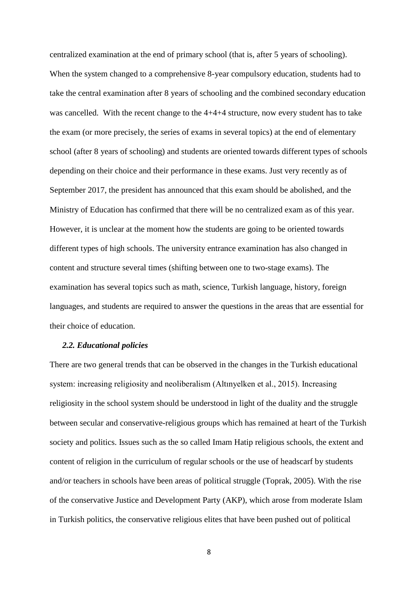centralized examination at the end of primary school (that is, after 5 years of schooling). When the system changed to a comprehensive 8-year compulsory education, students had to take the central examination after 8 years of schooling and the combined secondary education was cancelled. With the recent change to the 4+4+4 structure, now every student has to take the exam (or more precisely, the series of exams in several topics) at the end of elementary school (after 8 years of schooling) and students are oriented towards different types of schools depending on their choice and their performance in these exams. Just very recently as of September 2017, the president has announced that this exam should be abolished, and the Ministry of Education has confirmed that there will be no centralized exam as of this year. However, it is unclear at the moment how the students are going to be oriented towards different types of high schools. The university entrance examination has also changed in content and structure several times (shifting between one to two-stage exams). The examination has several topics such as math, science, Turkish language, history, foreign languages, and students are required to answer the questions in the areas that are essential for their choice of education.

#### *2.2. Educational policies*

There are two general trends that can be observed in the changes in the Turkish educational system: increasing religiosity and neoliberalism (Altınyelken et al., 2015). Increasing religiosity in the school system should be understood in light of the duality and the struggle between secular and conservative-religious groups which has remained at heart of the Turkish society and politics. Issues such as the so called Imam Hatip religious schools, the extent and content of religion in the curriculum of regular schools or the use of headscarf by students and/or teachers in schools have been areas of political struggle (Toprak, 2005). With the rise of the conservative Justice and Development Party (AKP), which arose from moderate Islam in Turkish politics, the conservative religious elites that have been pushed out of political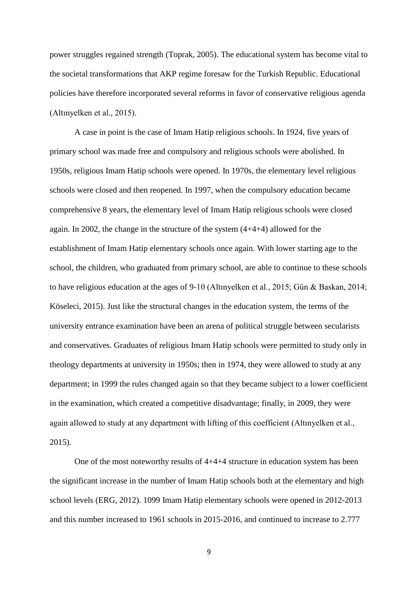power struggles regained strength (Toprak, 2005). The educational system has become vital to the societal transformations that AKP regime foresaw for the Turkish Republic. Educational policies have therefore incorporated several reforms in favor of conservative religious agenda (Altınyelken et al., 2015).

A case in point is the case of Imam Hatip religious schools. In 1924, five years of primary school was made free and compulsory and religious schools were abolished. In 1950s, religious Imam Hatip schools were opened. In 1970s, the elementary level religious schools were closed and then reopened. In 1997, when the compulsory education became comprehensive 8 years, the elementary level of Imam Hatip religious schools were closed again. In 2002, the change in the structure of the system (4+4+4) allowed for the establishment of Imam Hatip elementary schools once again. With lower starting age to the school, the children, who graduated from primary school, are able to continue to these schools to have religious education at the ages of 9-10 (Altınyelken et al., 2015; Gün & Baskan, 2014; Köseleci, 2015). Just like the structural changes in the education system, the terms of the university entrance examination have been an arena of political struggle between secularists and conservatives. Graduates of religious Imam Hatip schools were permitted to study only in theology departments at university in 1950s; then in 1974, they were allowed to study at any department; in 1999 the rules changed again so that they became subject to a lower coefficient in the examination, which created a competitive disadvantage; finally, in 2009, they were again allowed to study at any department with lifting of this coefficient (Altınyelken et al., 2015).

One of the most noteworthy results of 4+4+4 structure in education system has been the significant increase in the number of Imam Hatip schools both at the elementary and high school levels (ERG, 2012). 1099 Imam Hatip elementary schools were opened in 2012-2013 and this number increased to 1961 schools in 2015-2016, and continued to increase to 2.777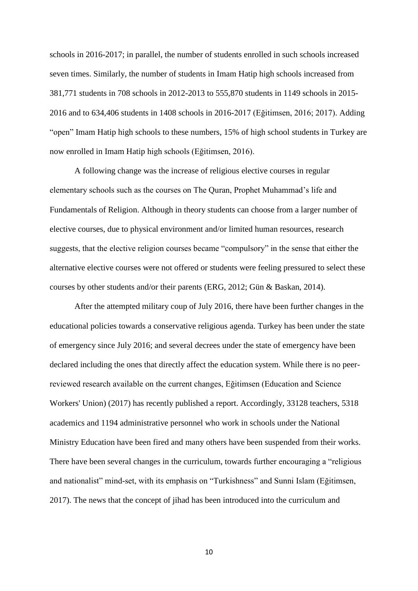schools in 2016-2017; in parallel, the number of students enrolled in such schools increased seven times. Similarly, the number of students in Imam Hatip high schools increased from 381,771 students in 708 schools in 2012-2013 to 555,870 students in 1149 schools in 2015- 2016 and to 634,406 students in 1408 schools in 2016-2017 (Eğitimsen, 2016; 2017). Adding "open" Imam Hatip high schools to these numbers, 15% of high school students in Turkey are now enrolled in Imam Hatip high schools (Eğitimsen, 2016).

A following change was the increase of religious elective courses in regular elementary schools such as the courses on The Quran, Prophet Muhammad's life and Fundamentals of Religion. Although in theory students can choose from a larger number of elective courses, due to physical environment and/or limited human resources, research suggests, that the elective religion courses became "compulsory" in the sense that either the alternative elective courses were not offered or students were feeling pressured to select these courses by other students and/or their parents (ERG, 2012; Gün & Baskan, 2014).

After the attempted military coup of July 2016, there have been further changes in the educational policies towards a conservative religious agenda. Turkey has been under the state of emergency since July 2016; and several decrees under the state of emergency have been declared including the ones that directly affect the education system. While there is no peerreviewed research available on the current changes, Eğitimsen (Education and Science Workers' Union) (2017) has recently published a report. Accordingly, 33128 teachers, 5318 academics and 1194 administrative personnel who work in schools under the National Ministry Education have been fired and many others have been suspended from their works. There have been several changes in the curriculum, towards further encouraging a "religious and nationalist" mind-set, with its emphasis on "Turkishness" and Sunni Islam (Eğitimsen, 2017). The news that the concept of jihad has been introduced into the curriculum and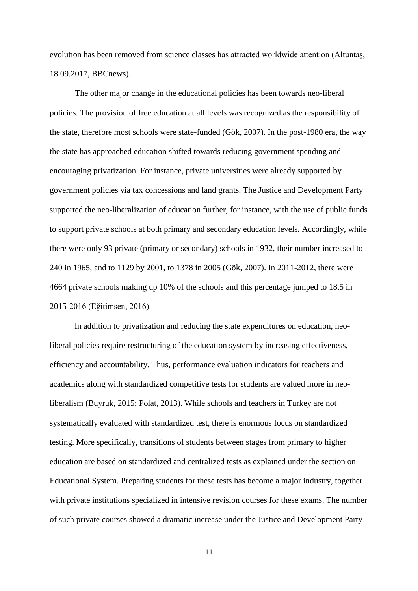evolution has been removed from science classes has attracted worldwide attention (Altuntaş, 18.09.2017, BBCnews).

The other major change in the educational policies has been towards neo-liberal policies. The provision of free education at all levels was recognized as the responsibility of the state, therefore most schools were state-funded (Gök, 2007). In the post-1980 era, the way the state has approached education shifted towards reducing government spending and encouraging privatization. For instance, private universities were already supported by government policies via tax concessions and land grants. The Justice and Development Party supported the neo-liberalization of education further, for instance, with the use of public funds to support private schools at both primary and secondary education levels. Accordingly, while there were only 93 private (primary or secondary) schools in 1932, their number increased to 240 in 1965, and to 1129 by 2001, to 1378 in 2005 (Gök, 2007). In 2011-2012, there were 4664 private schools making up 10% of the schools and this percentage jumped to 18.5 in 2015-2016 (Eğitimsen, 2016).

In addition to privatization and reducing the state expenditures on education, neoliberal policies require restructuring of the education system by increasing effectiveness, efficiency and accountability. Thus, performance evaluation indicators for teachers and academics along with standardized competitive tests for students are valued more in neoliberalism (Buyruk, 2015; Polat, 2013). While schools and teachers in Turkey are not systematically evaluated with standardized test, there is enormous focus on standardized testing. More specifically, transitions of students between stages from primary to higher education are based on standardized and centralized tests as explained under the section on Educational System. Preparing students for these tests has become a major industry, together with private institutions specialized in intensive revision courses for these exams. The number of such private courses showed a dramatic increase under the Justice and Development Party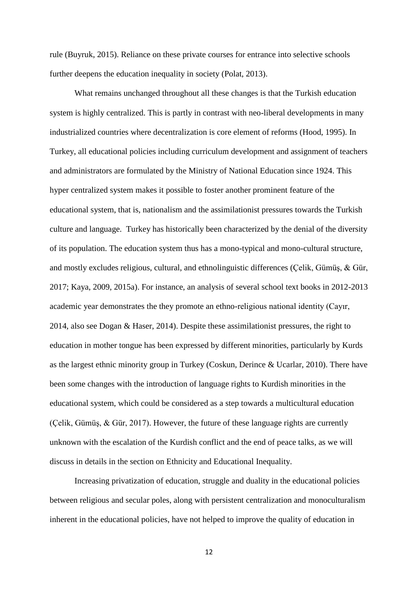rule (Buyruk, 2015). Reliance on these private courses for entrance into selective schools further deepens the education inequality in society (Polat, 2013).

What remains unchanged throughout all these changes is that the Turkish education system is highly centralized. This is partly in contrast with neo-liberal developments in many industrialized countries where decentralization is core element of reforms (Hood, 1995). In Turkey, all educational policies including curriculum development and assignment of teachers and administrators are formulated by the Ministry of National Education since 1924. This hyper centralized system makes it possible to foster another prominent feature of the educational system, that is, nationalism and the assimilationist pressures towards the Turkish culture and language. Turkey has historically been characterized by the denial of the diversity of its population. The education system thus has a mono-typical and mono-cultural structure, and mostly excludes religious, cultural, and ethnolinguistic differences (Çelik, Gümüş, & Gür, 2017; Kaya, 2009, 2015a). For instance, an analysis of several school text books in 2012-2013 academic year demonstrates the they promote an ethno-religious national identity (Cayır, 2014, also see Dogan & Haser, 2014). Despite these assimilationist pressures, the right to education in mother tongue has been expressed by different minorities, particularly by Kurds as the largest ethnic minority group in Turkey (Coskun, Derince & Ucarlar, 2010). There have been some changes with the introduction of language rights to Kurdish minorities in the educational system, which could be considered as a step towards a multicultural education (Çelik, Gümüş, & Gür, 2017). However, the future of these language rights are currently unknown with the escalation of the Kurdish conflict and the end of peace talks, as we will discuss in details in the section on Ethnicity and Educational Inequality.

Increasing privatization of education, struggle and duality in the educational policies between religious and secular poles, along with persistent centralization and monoculturalism inherent in the educational policies, have not helped to improve the quality of education in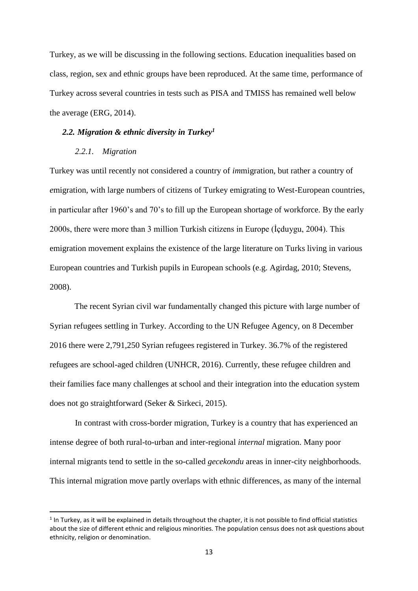Turkey, as we will be discussing in the following sections. Education inequalities based on class, region, sex and ethnic groups have been reproduced. At the same time, performance of Turkey across several countries in tests such as PISA and TMISS has remained well below the average (ERG, 2014).

#### *2.2. Migration & ethnic diversity in Turkey<sup>1</sup>*

#### *2.2.1. Migration*

**.** 

Turkey was until recently not considered a country of *im*migration, but rather a country of *e*migration, with large numbers of citizens of Turkey emigrating to West-European countries, in particular after 1960's and 70's to fill up the European shortage of workforce. By the early 2000s, there were more than 3 million Turkish citizens in Europe (İçduygu, 2004). This emigration movement explains the existence of the large literature on Turks living in various European countries and Turkish pupils in European schools (e.g. Agirdag, 2010; Stevens, 2008).

The recent Syrian civil war fundamentally changed this picture with large number of Syrian refugees settling in Turkey. According to the UN Refugee Agency, on 8 December 2016 there were 2,791,250 Syrian refugees registered in Turkey. 36.7% of the registered refugees are school-aged children (UNHCR, 2016). Currently, these refugee children and their families face many challenges at school and their integration into the education system does not go straightforward (Seker & Sirkeci, 2015).

In contrast with cross-border migration, Turkey is a country that has experienced an intense degree of both rural-to-urban and inter-regional *internal* migration. Many poor internal migrants tend to settle in the so-called *gecekondu* areas in inner-city neighborhoods. This internal migration move partly overlaps with ethnic differences, as many of the internal

 $1$  In Turkey, as it will be explained in details throughout the chapter, it is not possible to find official statistics about the size of different ethnic and religious minorities. The population census does not ask questions about ethnicity, religion or denomination.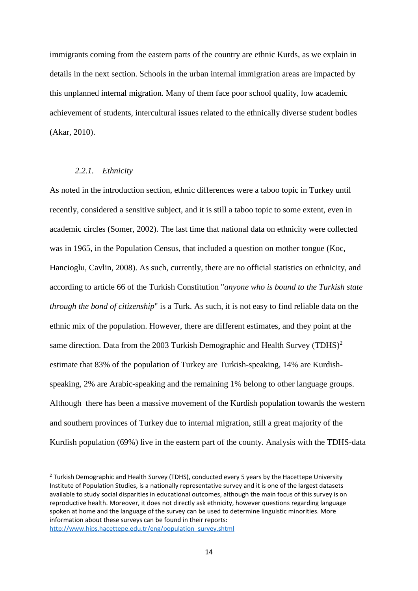immigrants coming from the eastern parts of the country are ethnic Kurds, as we explain in details in the next section. Schools in the urban internal immigration areas are impacted by this unplanned internal migration. Many of them face poor school quality, low academic achievement of students, intercultural issues related to the ethnically diverse student bodies (Akar, 2010).

#### *2.2.1. Ethnicity*

1

As noted in the introduction section, ethnic differences were a taboo topic in Turkey until recently, considered a sensitive subject, and it is still a taboo topic to some extent, even in academic circles (Somer, 2002). The last time that national data on ethnicity were collected was in 1965, in the Population Census, that included a question on mother tongue (Koc, Hancioglu, Cavlin, 2008). As such, currently, there are no official statistics on ethnicity, and according to article 66 of the Turkish Constitution "*anyone who is bound to the Turkish state through the bond of citizenship*" is a Turk. As such, it is not easy to find reliable data on the ethnic mix of the population. However, there are different estimates, and they point at the same direction. Data from the 2003 Turkish Demographic and Health Survey (TDHS)<sup>2</sup> estimate that 83% of the population of Turkey are Turkish-speaking, 14% are Kurdishspeaking, 2% are Arabic-speaking and the remaining 1% belong to other language groups. Although there has been a massive movement of the Kurdish population towards the western and southern provinces of Turkey due to internal migration, still a great majority of the Kurdish population (69%) live in the eastern part of the county. Analysis with the TDHS-data

 $2$  Turkish Demographic and Health Survey (TDHS), conducted every 5 years by the Hacettepe University Institute of Population Studies, is a nationally representative survey and it is one of the largest datasets available to study social disparities in educational outcomes, although the main focus of this survey is on reproductive health. Moreover, it does not directly ask ethnicity, however questions regarding language spoken at home and the language of the survey can be used to determine linguistic minorities. More information about these surveys can be found in their reports: [http://www.hips.hacettepe.edu.tr/eng/population\\_survey.shtml](http://www.hips.hacettepe.edu.tr/eng/population_survey.shtml)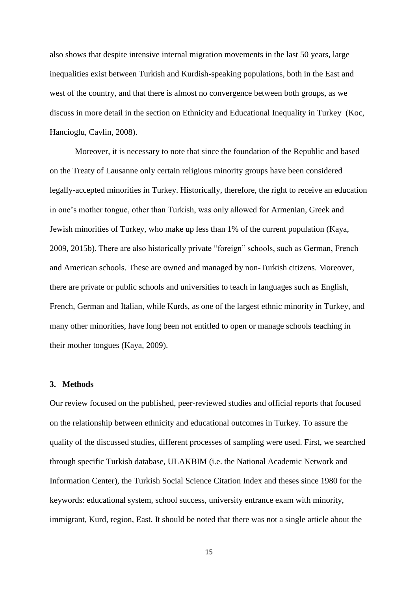also shows that despite intensive internal migration movements in the last 50 years, large inequalities exist between Turkish and Kurdish-speaking populations, both in the East and west of the country, and that there is almost no convergence between both groups, as we discuss in more detail in the section on Ethnicity and Educational Inequality in Turkey (Koc, Hancioglu, Cavlin, 2008).

Moreover, it is necessary to note that since the foundation of the Republic and based on the Treaty of Lausanne only certain religious minority groups have been considered legally-accepted minorities in Turkey. Historically, therefore, the right to receive an education in one's mother tongue, other than Turkish, was only allowed for Armenian, Greek and Jewish minorities of Turkey, who make up less than 1% of the current population (Kaya, 2009, 2015b). There are also historically private "foreign" schools, such as German, French and American schools. These are owned and managed by non-Turkish citizens. Moreover, there are private or public schools and universities to teach in languages such as English, French, German and Italian, while Kurds, as one of the largest ethnic minority in Turkey, and many other minorities, have long been not entitled to open or manage schools teaching in their mother tongues (Kaya, 2009).

#### **3. Methods**

Our review focused on the published, peer-reviewed studies and official reports that focused on the relationship between ethnicity and educational outcomes in Turkey. To assure the quality of the discussed studies, different processes of sampling were used. First, we searched through specific Turkish database, ULAKBIM (i.e. the National Academic Network and Information Center), the Turkish Social Science Citation Index and theses since 1980 for the keywords: educational system, school success, university entrance exam with minority, immigrant, Kurd, region, East. It should be noted that there was not a single article about the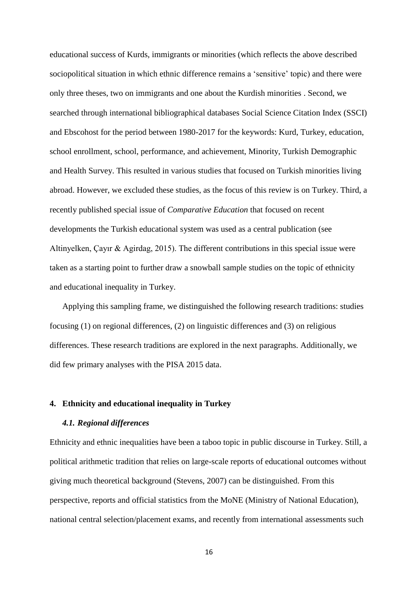educational success of Kurds, immigrants or minorities (which reflects the above described sociopolitical situation in which ethnic difference remains a 'sensitive' topic) and there were only three theses, two on immigrants and one about the Kurdish minorities . Second, we searched through international bibliographical databases Social Science Citation Index (SSCI) and Ebscohost for the period between 1980-2017 for the keywords: Kurd, Turkey, education, school enrollment, school, performance, and achievement, Minority, Turkish Demographic and Health Survey. This resulted in various studies that focused on Turkish minorities living abroad. However, we excluded these studies, as the focus of this review is on Turkey. Third, a recently published special issue of *Comparative Education* that focused on recent developments the Turkish educational system was used as a central publication (see Altinyelken, Çayır & Agirdag, 2015). The different contributions in this special issue were taken as a starting point to further draw a snowball sample studies on the topic of ethnicity and educational inequality in Turkey.

Applying this sampling frame, we distinguished the following research traditions: studies focusing (1) on regional differences, (2) on linguistic differences and (3) on religious differences. These research traditions are explored in the next paragraphs. Additionally, we did few primary analyses with the PISA 2015 data.

## **4. Ethnicity and educational inequality in Turkey**

#### *4.1. Regional differences*

Ethnicity and ethnic inequalities have been a taboo topic in public discourse in Turkey. Still, a political arithmetic tradition that relies on large-scale reports of educational outcomes without giving much theoretical background (Stevens, 2007) can be distinguished. From this perspective, reports and official statistics from the MoNE (Ministry of National Education), national central selection/placement exams, and recently from international assessments such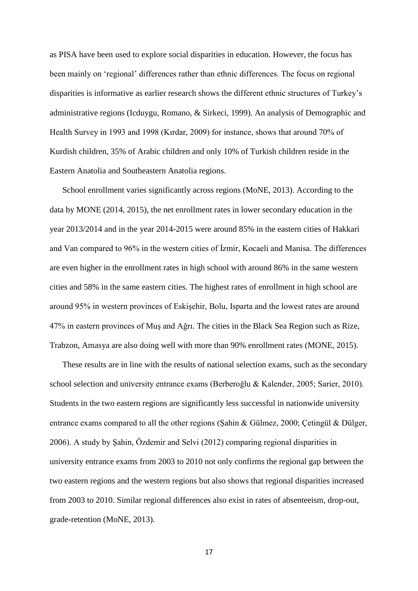as PISA have been used to explore social disparities in education. However, the focus has been mainly on 'regional' differences rather than ethnic differences. The focus on regional disparities is informative as earlier research shows the different ethnic structures of Turkey's administrative regions (Icduygu, Romano, & Sirkeci, 1999). An analysis of Demographic and Health Survey in 1993 and 1998 (Kırdar, 2009) for instance, shows that around 70% of Kurdish children, 35% of Arabic children and only 10% of Turkish children reside in the Eastern Anatolia and Southeastern Anatolia regions.

School enrollment varies significantly across regions (MoNE, 2013). According to the data by MONE (2014, 2015), the net enrollment rates in lower secondary education in the year 2013/2014 and in the year 2014-2015 were around 85% in the eastern cities of Hakkari and Van compared to 96% in the western cities of İzmir, Kocaeli and Manisa. The differences are even higher in the enrollment rates in high school with around 86% in the same western cities and 58% in the same eastern cities. The highest rates of enrollment in high school are around 95% in western provinces of Eskişehir, Bolu, Isparta and the lowest rates are around 47% in eastern provinces of Muş and Ağrı. The cities in the Black Sea Region such as Rize, Trabzon, Amasya are also doing well with more than 90% enrollment rates (MONE, 2015).

These results are in line with the results of national selection exams, such as the secondary school selection and university entrance exams (Berberoğlu & Kalender, 2005; Sarier, 2010). Students in the two eastern regions are significantly less successful in nationwide university entrance exams compared to all the other regions (Şahin & Gülmez, 2000; Çetingül & Dülger, 2006). A study by Şahin, Özdemir and Selvi (2012) comparing regional disparities in university entrance exams from 2003 to 2010 not only confirms the regional gap between the two eastern regions and the western regions but also shows that regional disparities increased from 2003 to 2010. Similar regional differences also exist in rates of absenteeism, drop-out, grade-retention (MoNE, 2013).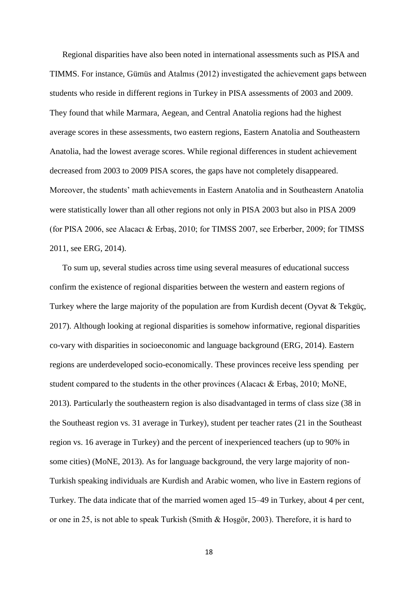Regional disparities have also been noted in international assessments such as PISA and TIMMS. For instance, Gümüs and Atalmıs (2012) investigated the achievement gaps between students who reside in different regions in Turkey in PISA assessments of 2003 and 2009. They found that while Marmara, Aegean, and Central Anatolia regions had the highest average scores in these assessments, two eastern regions, Eastern Anatolia and Southeastern Anatolia, had the lowest average scores. While regional differences in student achievement decreased from 2003 to 2009 PISA scores, the gaps have not completely disappeared. Moreover, the students' math achievements in Eastern Anatolia and in Southeastern Anatolia were statistically lower than all other regions not only in PISA 2003 but also in PISA 2009 (for PISA 2006, see Alacacı & Erbaş, 2010; for TIMSS 2007, see Erberber, 2009; for TIMSS 2011, see ERG, 2014).

To sum up, several studies across time using several measures of educational success confirm the existence of regional disparities between the western and eastern regions of Turkey where the large majority of the population are from Kurdish decent (Oyvat & Tekgüç, 2017). Although looking at regional disparities is somehow informative, regional disparities co-vary with disparities in socioeconomic and language background (ERG, 2014). Eastern regions are underdeveloped socio-economically. These provinces receive less spending per student compared to the students in the other provinces (Alacacı & Erbas, 2010; MoNE, 2013). Particularly the southeastern region is also disadvantaged in terms of class size (38 in the Southeast region vs. 31 average in Turkey), student per teacher rates (21 in the Southeast region vs. 16 average in Turkey) and the percent of inexperienced teachers (up to 90% in some cities) (MoNE, 2013). As for language background, the very large majority of non-Turkish speaking individuals are Kurdish and Arabic women, who live in Eastern regions of Turkey. The data indicate that of the married women aged 15–49 in Turkey, about 4 per cent, or one in 25, is not able to speak Turkish (Smith & Hoşgör, 2003). Therefore, it is hard to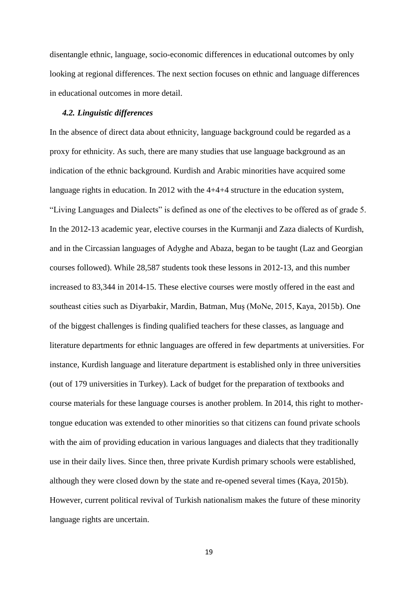disentangle ethnic, language, socio-economic differences in educational outcomes by only looking at regional differences. The next section focuses on ethnic and language differences in educational outcomes in more detail.

#### *4.2. Linguistic differences*

In the absence of direct data about ethnicity, language background could be regarded as a proxy for ethnicity. As such, there are many studies that use language background as an indication of the ethnic background. Kurdish and Arabic minorities have acquired some language rights in education. In 2012 with the 4+4+4 structure in the education system, "Living Languages and Dialects" is defined as one of the electives to be offered as of grade 5. In the 2012-13 academic year, elective courses in the Kurmanji and Zaza dialects of Kurdish, and in the Circassian languages of Adyghe and Abaza, began to be taught (Laz and Georgian courses followed). While 28,587 students took these lessons in 2012-13, and this number increased to 83,344 in 2014-15. These elective courses were mostly offered in the east and southeast cities such as Diyarbakir, Mardin, Batman, Muş (MoNe, 2015, Kaya, 2015b). One of the biggest challenges is finding qualified teachers for these classes, as language and literature departments for ethnic languages are offered in few departments at universities. For instance, Kurdish language and literature department is established only in three universities (out of 179 universities in Turkey). Lack of budget for the preparation of textbooks and course materials for these language courses is another problem. In 2014, this right to mothertongue education was extended to other minorities so that citizens can found private schools with the aim of providing education in various languages and dialects that they traditionally use in their daily lives. Since then, three private Kurdish primary schools were established, although they were closed down by the state and re-opened several times (Kaya, 2015b). However, current political revival of Turkish nationalism makes the future of these minority language rights are uncertain.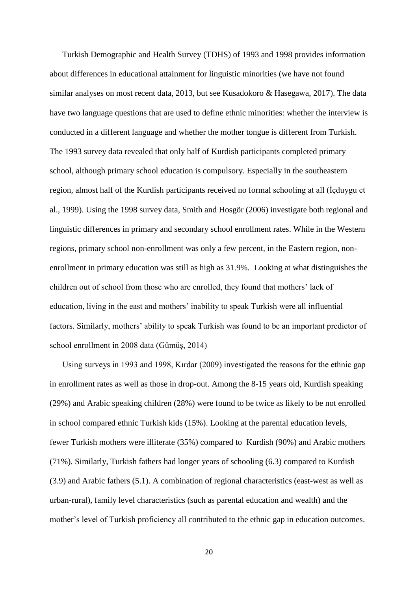Turkish Demographic and Health Survey (TDHS) of 1993 and 1998 provides information about differences in educational attainment for linguistic minorities (we have not found similar analyses on most recent data, 2013, but see Kusadokoro & Hasegawa, 2017). The data have two language questions that are used to define ethnic minorities: whether the interview is conducted in a different language and whether the mother tongue is different from Turkish. The 1993 survey data revealed that only half of Kurdish participants completed primary school, although primary school education is compulsory. Especially in the southeastern region, almost half of the Kurdish participants received no formal schooling at all (İçduygu et al., 1999). Using the 1998 survey data, Smith and Hosgör (2006) investigate both regional and linguistic differences in primary and secondary school enrollment rates. While in the Western regions, primary school non-enrollment was only a few percent, in the Eastern region, nonenrollment in primary education was still as high as 31.9%. Looking at what distinguishes the children out of school from those who are enrolled, they found that mothers' lack of education, living in the east and mothers' inability to speak Turkish were all influential factors. Similarly, mothers' ability to speak Turkish was found to be an important predictor of school enrollment in 2008 data (Gümüş, 2014)

Using surveys in 1993 and 1998, Kırdar (2009) investigated the reasons for the ethnic gap in enrollment rates as well as those in drop-out. Among the 8-15 years old, Kurdish speaking (29%) and Arabic speaking children (28%) were found to be twice as likely to be not enrolled in school compared ethnic Turkish kids (15%). Looking at the parental education levels, fewer Turkish mothers were illiterate (35%) compared to Kurdish (90%) and Arabic mothers (71%). Similarly, Turkish fathers had longer years of schooling (6.3) compared to Kurdish (3.9) and Arabic fathers (5.1). A combination of regional characteristics (east-west as well as urban-rural), family level characteristics (such as parental education and wealth) and the mother's level of Turkish proficiency all contributed to the ethnic gap in education outcomes.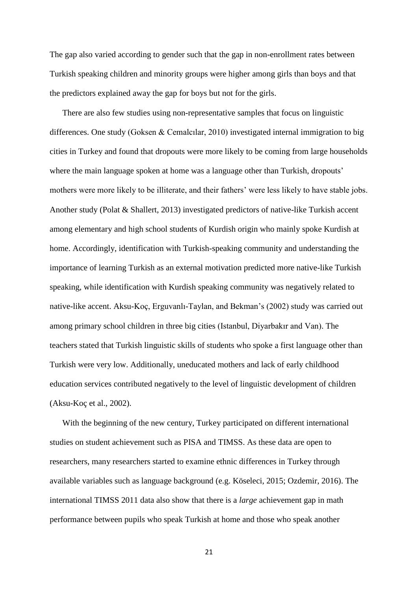The gap also varied according to gender such that the gap in non-enrollment rates between Turkish speaking children and minority groups were higher among girls than boys and that the predictors explained away the gap for boys but not for the girls.

There are also few studies using non-representative samples that focus on linguistic differences. One study (Goksen & Cemalcılar, 2010) investigated internal immigration to big cities in Turkey and found that dropouts were more likely to be coming from large households where the main language spoken at home was a language other than Turkish, dropouts' mothers were more likely to be illiterate, and their fathers' were less likely to have stable jobs. Another study (Polat & Shallert, 2013) investigated predictors of native-like Turkish accent among elementary and high school students of Kurdish origin who mainly spoke Kurdish at home. Accordingly, identification with Turkish-speaking community and understanding the importance of learning Turkish as an external motivation predicted more native-like Turkish speaking, while identification with Kurdish speaking community was negatively related to native-like accent. Aksu-Koç, Erguvanlı-Taylan, and Bekman's (2002) study was carried out among primary school children in three big cities (Istanbul, Diyarbakır and Van). The teachers stated that Turkish linguistic skills of students who spoke a first language other than Turkish were very low. Additionally, uneducated mothers and lack of early childhood education services contributed negatively to the level of linguistic development of children (Aksu-Koç et al., 2002).

With the beginning of the new century, Turkey participated on different international studies on student achievement such as PISA and TIMSS. As these data are open to researchers, many researchers started to examine ethnic differences in Turkey through available variables such as language background (e.g. Köseleci, 2015; Ozdemir, 2016). The international TIMSS 2011 data also show that there is a *large* achievement gap in math performance between pupils who speak Turkish at home and those who speak another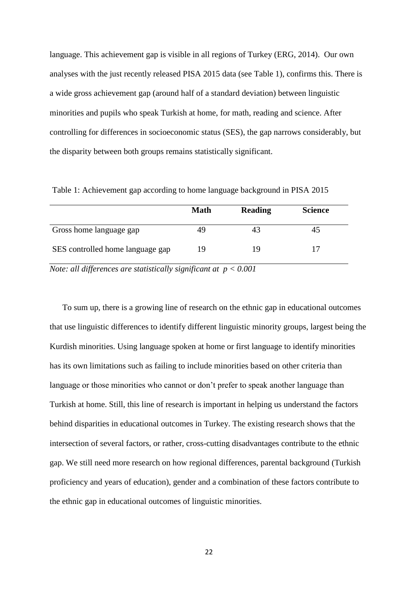language. This achievement gap is visible in all regions of Turkey (ERG, 2014). Our own analyses with the just recently released PISA 2015 data (see Table 1), confirms this. There is a wide gross achievement gap (around half of a standard deviation) between linguistic minorities and pupils who speak Turkish at home, for math, reading and science. After controlling for differences in socioeconomic status (SES), the gap narrows considerably, but the disparity between both groups remains statistically significant.

|                                  | <b>Math</b> | Reading | <b>Science</b> |
|----------------------------------|-------------|---------|----------------|
| Gross home language gap          | 49          |         | 45             |
| SES controlled home language gap | 19          | 19      |                |

Table 1: Achievement gap according to home language background in PISA 2015

*Note: all differences are statistically significant at p < 0.001*

To sum up, there is a growing line of research on the ethnic gap in educational outcomes that use linguistic differences to identify different linguistic minority groups, largest being the Kurdish minorities. Using language spoken at home or first language to identify minorities has its own limitations such as failing to include minorities based on other criteria than language or those minorities who cannot or don't prefer to speak another language than Turkish at home. Still, this line of research is important in helping us understand the factors behind disparities in educational outcomes in Turkey. The existing research shows that the intersection of several factors, or rather, cross-cutting disadvantages contribute to the ethnic gap. We still need more research on how regional differences, parental background (Turkish proficiency and years of education), gender and a combination of these factors contribute to the ethnic gap in educational outcomes of linguistic minorities.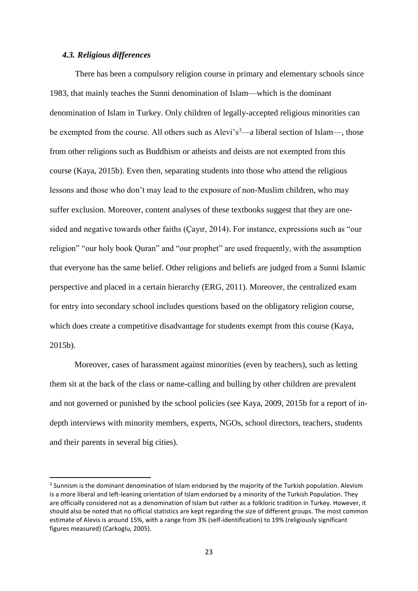#### *4.3. Religious differences*

**.** 

There has been a compulsory religion course in primary and elementary schools since 1983, that mainly teaches the Sunni denomination of Islam—which is the dominant denomination of Islam in Turkey. Only children of legally-accepted religious minorities can be exempted from the course. All others such as Alevi's<sup>3</sup>—a liberal section of Islam—, those from other religions such as Buddhism or atheists and deists are not exempted from this course (Kaya, 2015b). Even then, separating students into those who attend the religious lessons and those who don't may lead to the exposure of non-Muslim children, who may suffer exclusion. Moreover, content analyses of these textbooks suggest that they are onesided and negative towards other faiths (Çayır, 2014). For instance, expressions such as "our religion" "our holy book Quran" and "our prophet" are used frequently, with the assumption that everyone has the same belief. Other religions and beliefs are judged from a Sunni Islamic perspective and placed in a certain hierarchy (ERG, 2011). Moreover, the centralized exam for entry into secondary school includes questions based on the obligatory religion course, which does create a competitive disadvantage for students exempt from this course (Kaya, 2015b).

Moreover, cases of harassment against minorities (even by teachers), such as letting them sit at the back of the class or name-calling and bulling by other children are prevalent and not governed or punished by the school policies (see Kaya, 2009, 2015b for a report of indepth interviews with minority members, experts, NGOs, school directors, teachers, students and their parents in several big cities).

<sup>&</sup>lt;sup>3</sup> Sunnism is the dominant denomination of Islam endorsed by the majority of the Turkish population. Alevism is a more liberal and left-leaning orientation of Islam endorsed by a minority of the Turkish Population. They are officially considered not as a denomination of Islam but rather as a folkloric tradition in Turkey. However, it should also be noted that no official statistics are kept regarding the size of different groups. The most common estimate of Alevis is around 15%, with a range from 3% (self-identification) to 19% (religiously significant figures measured) (Carkoglu, 2005).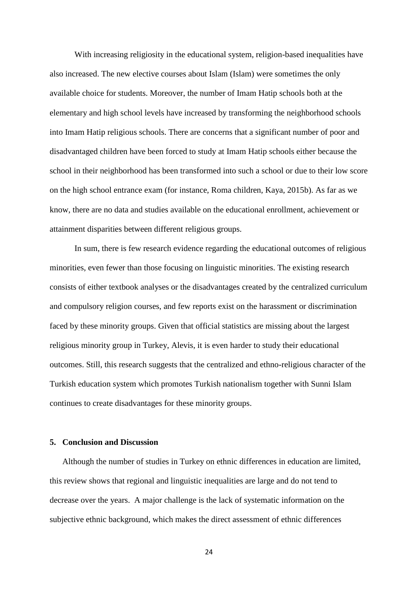With increasing religiosity in the educational system, religion-based inequalities have also increased. The new elective courses about Islam (Islam) were sometimes the only available choice for students. Moreover, the number of Imam Hatip schools both at the elementary and high school levels have increased by transforming the neighborhood schools into Imam Hatip religious schools. There are concerns that a significant number of poor and disadvantaged children have been forced to study at Imam Hatip schools either because the school in their neighborhood has been transformed into such a school or due to their low score on the high school entrance exam (for instance, Roma children, Kaya, 2015b). As far as we know, there are no data and studies available on the educational enrollment, achievement or attainment disparities between different religious groups.

In sum, there is few research evidence regarding the educational outcomes of religious minorities, even fewer than those focusing on linguistic minorities. The existing research consists of either textbook analyses or the disadvantages created by the centralized curriculum and compulsory religion courses, and few reports exist on the harassment or discrimination faced by these minority groups. Given that official statistics are missing about the largest religious minority group in Turkey, Alevis, it is even harder to study their educational outcomes. Still, this research suggests that the centralized and ethno-religious character of the Turkish education system which promotes Turkish nationalism together with Sunni Islam continues to create disadvantages for these minority groups.

#### **5. Conclusion and Discussion**

Although the number of studies in Turkey on ethnic differences in education are limited, this review shows that regional and linguistic inequalities are large and do not tend to decrease over the years. A major challenge is the lack of systematic information on the subjective ethnic background, which makes the direct assessment of ethnic differences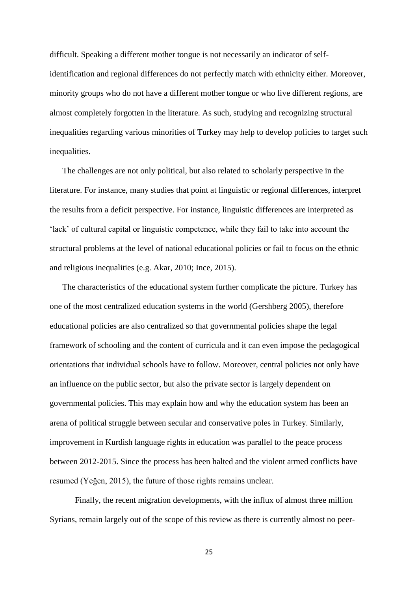difficult. Speaking a different mother tongue is not necessarily an indicator of selfidentification and regional differences do not perfectly match with ethnicity either. Moreover, minority groups who do not have a different mother tongue or who live different regions, are almost completely forgotten in the literature. As such, studying and recognizing structural inequalities regarding various minorities of Turkey may help to develop policies to target such inequalities.

The challenges are not only political, but also related to scholarly perspective in the literature. For instance, many studies that point at linguistic or regional differences, interpret the results from a deficit perspective. For instance, linguistic differences are interpreted as 'lack' of cultural capital or linguistic competence, while they fail to take into account the structural problems at the level of national educational policies or fail to focus on the ethnic and religious inequalities (e.g. Akar, 2010; Ince, 2015).

The characteristics of the educational system further complicate the picture. Turkey has one of the most centralized education systems in the world (Gershberg 2005), therefore educational policies are also centralized so that governmental policies shape the legal framework of schooling and the content of curricula and it can even impose the pedagogical orientations that individual schools have to follow. Moreover, central policies not only have an influence on the public sector, but also the private sector is largely dependent on governmental policies. This may explain how and why the education system has been an arena of political struggle between secular and conservative poles in Turkey. Similarly, improvement in Kurdish language rights in education was parallel to the peace process between 2012-2015. Since the process has been halted and the violent armed conflicts have resumed (Yeğen, 2015), the future of those rights remains unclear.

Finally, the recent migration developments, with the influx of almost three million Syrians, remain largely out of the scope of this review as there is currently almost no peer-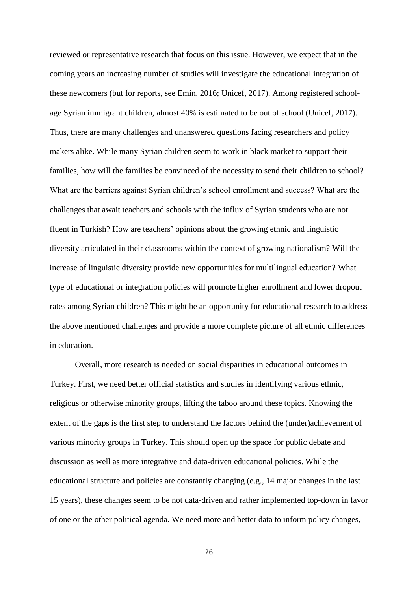reviewed or representative research that focus on this issue. However, we expect that in the coming years an increasing number of studies will investigate the educational integration of these newcomers (but for reports, see Emin, 2016; Unicef, 2017). Among registered schoolage Syrian immigrant children, almost 40% is estimated to be out of school (Unicef, 2017). Thus, there are many challenges and unanswered questions facing researchers and policy makers alike. While many Syrian children seem to work in black market to support their families, how will the families be convinced of the necessity to send their children to school? What are the barriers against Syrian children's school enrollment and success? What are the challenges that await teachers and schools with the influx of Syrian students who are not fluent in Turkish? How are teachers' opinions about the growing ethnic and linguistic diversity articulated in their classrooms within the context of growing nationalism? Will the increase of linguistic diversity provide new opportunities for multilingual education? What type of educational or integration policies will promote higher enrollment and lower dropout rates among Syrian children? This might be an opportunity for educational research to address the above mentioned challenges and provide a more complete picture of all ethnic differences in education.

Overall, more research is needed on social disparities in educational outcomes in Turkey. First, we need better official statistics and studies in identifying various ethnic, religious or otherwise minority groups, lifting the taboo around these topics. Knowing the extent of the gaps is the first step to understand the factors behind the (under)achievement of various minority groups in Turkey. This should open up the space for public debate and discussion as well as more integrative and data-driven educational policies. While the educational structure and policies are constantly changing (e.g., 14 major changes in the last 15 years), these changes seem to be not data-driven and rather implemented top-down in favor of one or the other political agenda. We need more and better data to inform policy changes,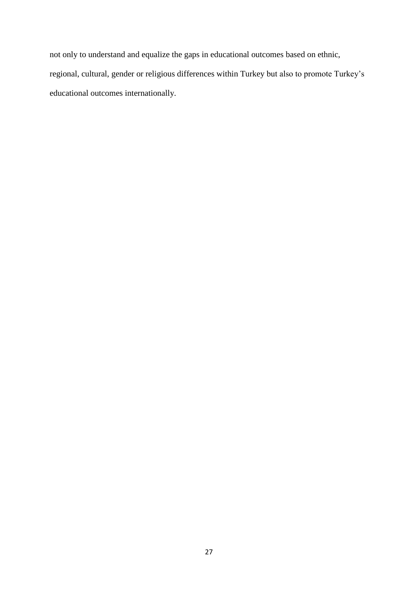not only to understand and equalize the gaps in educational outcomes based on ethnic, regional, cultural, gender or religious differences within Turkey but also to promote Turkey's educational outcomes internationally.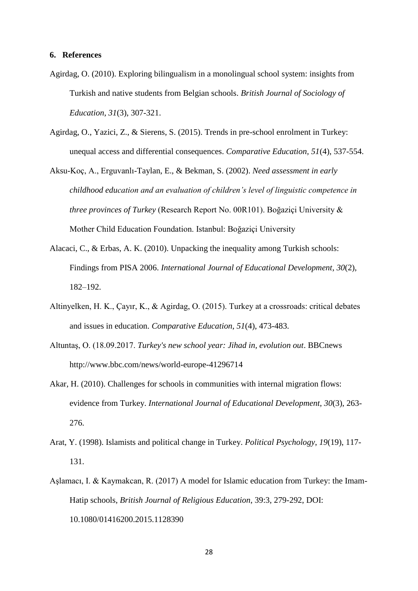#### **6. References**

- Agirdag, O. (2010). Exploring bilingualism in a monolingual school system: insights from Turkish and native students from Belgian schools. *British Journal of Sociology of Education*, *31*(3), 307-321.
- Agirdag, O., Yazici, Z., & Sierens, S. (2015). Trends in pre-school enrolment in Turkey: unequal access and differential consequences. *Comparative Education, 51*(4), 537-554.
- Aksu-Koç, A., Erguvanlı-Taylan, E., & Bekman, S. (2002). *Need assessment in early childhood education and an evaluation of children's level of linguistic competence in three provinces of Turkey* (Research Report No. 00R101). Boğaziçi University & Mother Child Education Foundation. Istanbul: Boğaziçi University
- Alacaci, C., & Erbas, A. K. (2010). Unpacking the inequality among Turkish schools: Findings from PISA 2006. *International Journal of Educational Development*, *30*(2), 182–192.
- Altinyelken, H. K., Çayır, K., & Agirdag, O. (2015). Turkey at a crossroads: critical debates and issues in education. *Comparative Education*, *51*(4), 473-483.
- Altuntaş, O. (18.09.2017. *Turkey's new school year: Jihad in, evolution out*. BBCnews http://www.bbc.com/news/world-europe-41296714
- Akar, H. (2010). Challenges for schools in communities with internal migration flows: evidence from Turkey. *International Journal of Educational Development*, *30*(3), 263- 276.
- Arat, Y. (1998). Islamists and political change in Turkey. *Political Psychology*, *19*(19), 117- 131.
- Aşlamacı, I. & Kaymakcan, R. (2017) A model for Islamic education from Turkey: the Imam-Hatip schools, *British Journal of Religious Education*, 39:3, 279-292, DOI: 10.1080/01416200.2015.1128390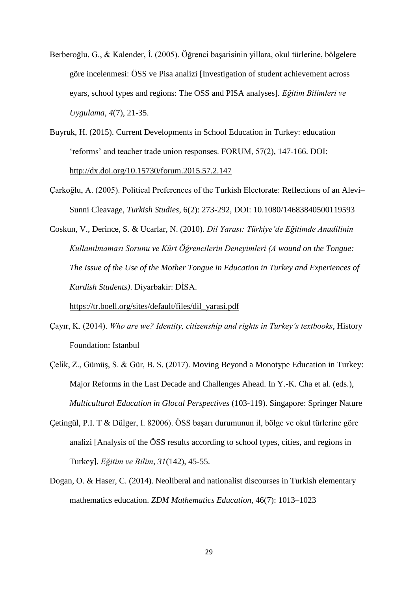- Berberoğlu, G., & Kalender, İ. (2005). Öğrenci başarisinin yillara, okul türlerine, bölgelere göre incelenmesi: ÖSS ve Pisa analizi [Investigation of student achievement across eyars, school types and regions: The OSS and PISA analyses]. *Eğitim Bilimleri ve Uygulama*, *4*(7), 21-35.
- Buyruk, H. (2015). Current Developments in School Education in Turkey: education 'reforms' and teacher trade union responses. FORUM, 57(2), 147-166. DOI: <http://dx.doi.org/10.15730/forum.2015.57.2.147>
- Çarkoğlu, A. (2005). Political Preferences of the Turkish Electorate: Reflections of an Alevi– Sunni Cleavage, *Turkish Studies*, 6(2): 273-292, DOI: 10.1080/14683840500119593
- Coskun, V., Derince, S. & Ucarlar, N. (2010). *Dil Yarası: Türkiye'de Eğitimde Anadilinin Kullanılmaması Sorunu ve Kürt Öğrencilerin Deneyimleri (A wound on the Tongue: The Issue of the Use of the Mother Tongue in Education in Turkey and Experiences of Kurdish Students)*. Diyarbakir: DİSA.

[https://tr.boell.org/sites/default/files/dil\\_yarasi.pdf](https://tr.boell.org/sites/default/files/dil_yarasi.pdf)

- Çayır, K. (2014). *Who are we? Identity, citizenship and rights in Turkey's textbooks*, History Foundation: Istanbul
- Çelik, Z., Gümüş, S. & Gür, B. S. (2017). Moving Beyond a Monotype Education in Turkey: Major Reforms in the Last Decade and Challenges Ahead. In Y.-K. Cha et al. (eds.), *Multicultural Education in Glocal Perspectives* (103-119). Singapore: Springer Nature
- Çetingül, P.I. T & Dülger, I. 82006). ÖSS başarı durumunun il, bölge ve okul türlerine göre analizi [Analysis of the ÖSS results according to school types, cities, and regions in Turkey]. *Eğitim ve Bilim*, *31*(142), 45-55.
- Dogan, O. & Haser, C. (2014). Neoliberal and nationalist discourses in Turkish elementary mathematics education. *ZDM Mathematics Education*, 46(7): 1013–1023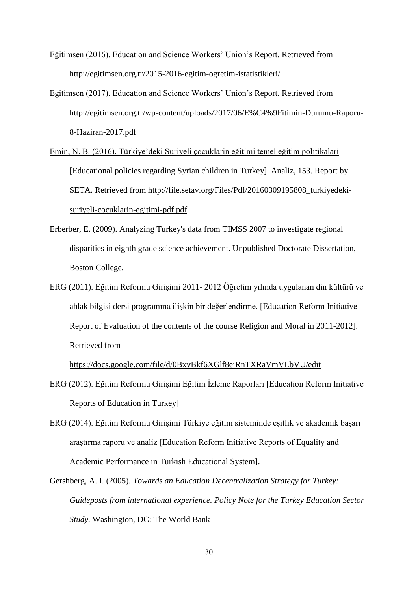Eğitimsen (2016). Education and Science Workers' Union's Report. Retrieved from <http://egitimsen.org.tr/2015-2016-egitim-ogretim-istatistikleri/>

- Eğitimsen (2017). Education and Science Workers' Union's Report. Retrieved from [http://egitimsen.org.tr/wp-content/uploads/2017/06/E%C4%9Fitimin-Durumu-Raporu-](http://egitimsen.org.tr/wp-content/uploads/2017/06/E%C4%9Fitimin-Durumu-Raporu-8-Haziran-2017.pdf)[8-Haziran-2017.pdf](http://egitimsen.org.tr/wp-content/uploads/2017/06/E%C4%9Fitimin-Durumu-Raporu-8-Haziran-2017.pdf)
- Emin, N. B. (2016). Türkiye'deki Suriyeli çocuklarin eğitimi temel eğitim politikalari [Educational policies regarding Syrian children in Turkey]. Analiz, 153. Report by SETA. Retrieved from http://file.setav.org/Files/Pdf/20160309195808\_turkiyedekisuriyeli-cocuklarin-egitimi-pdf.pdf
- Erberber, E. (2009). Analyzing Turkey's data from TIMSS 2007 to investigate regional disparities in eighth grade science achievement. Unpublished Doctorate Dissertation, Boston College.
- ERG (2011). Eğitim Reformu Girişimi 2011- 2012 Öğretim yılında uygulanan din kültürü ve ahlak bilgisi dersi programına ilişkin bir değerlendirme. [Education Reform Initiative Report of Evaluation of the contents of the course Religion and Moral in 2011-2012]. Retrieved from

<https://docs.google.com/file/d/0BxvBkf6XGlf8ejRnTXRaVmVLbVU/edit>

- ERG (2012). Eğitim Reformu Girişimi Eğitim İzleme Raporları [Education Reform Initiative Reports of Education in Turkey]
- ERG (2014). Eğitim Reformu Girişimi Türkiye eğitim sisteminde eşitlik ve akademik başarı araştırma raporu ve analiz [Education Reform Initiative Reports of Equality and Academic Performance in Turkish Educational System].
- Gershberg, A. I. (2005). *Towards an Education Decentralization Strategy for Turkey: Guideposts from international experience. Policy Note for the Turkey Education Sector Study.* Washington, DC: The World Bank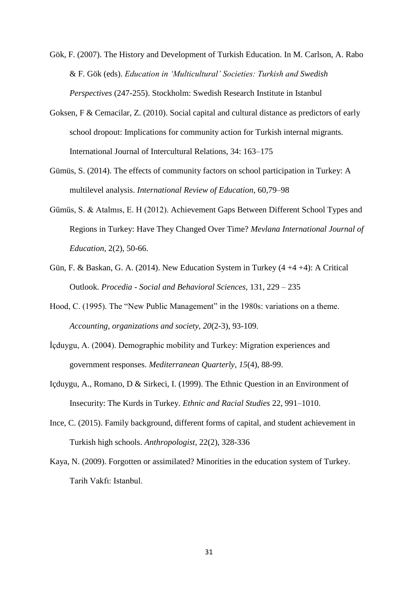- Gök, F. (2007). The History and Development of Turkish Education. In M. Carlson, A. Rabo & F. Gök (eds). *Education in 'Multicultural' Societies: Turkish and Swedish Perspectives* (247-255). Stockholm: Swedish Research Institute in Istanbul
- Goksen, F & Cemacilar, Z. (2010). Social capital and cultural distance as predictors of early school dropout: Implications for community action for Turkish internal migrants. International Journal of Intercultural Relations, 34: 163–175
- Gümüs, S. (2014). The effects of community factors on school participation in Turkey: A multilevel analysis. *International Review of Education*, 60,79–98
- Gümüs, S. & Atalmıs, E. H (2012). Achievement Gaps Between Different School Types and Regions in Turkey: Have They Changed Over Time? *Mevlana International Journal of Education*, 2(2), 50-66.
- Gün, F. & Baskan, G. A. (2014). New Education System in Turkey (4 +4 +4): A Critical Outlook. *Procedia - Social and Behavioral Sciences,* 131, 229 – 235
- Hood, C. (1995). The "New Public Management" in the 1980s: variations on a theme. *Accounting, organizations and society, 20*(2-3), 93-109.
- İçduygu, A. (2004). Demographic mobility and Turkey: Migration experiences and government responses. *Mediterranean Quarterly*, *15*(4), 88-99.
- Içduygu, A., Romano, D & Sirkeci, I. (1999). The Ethnic Question in an Environment of Insecurity: The Kurds in Turkey. *Ethnic and Racial Studies* 22, 991–1010.
- Ince, C. (2015). Family background, different forms of capital, and student achievement in Turkish high schools. *Anthropologist*, 22(2), 328-336
- Kaya, N. (2009). Forgotten or assimilated? Minorities in the education system of Turkey. Tarih Vakfı: Istanbul.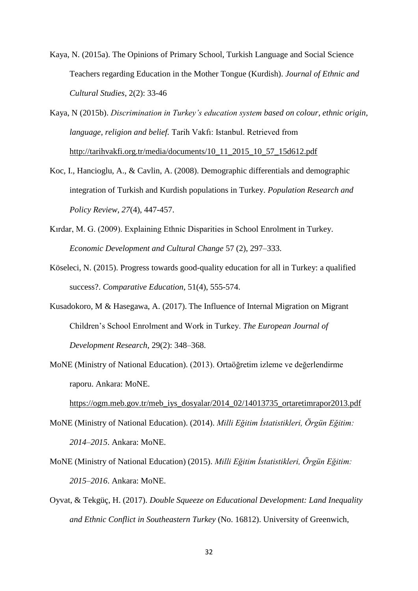- Kaya, N. (2015a). The Opinions of Primary School, Turkish Language and Social Science Teachers regarding Education in the Mother Tongue (Kurdish). *Journal of Ethnic and Cultural Studies*, 2(2): 33-46
- Kaya, N (2015b). *Discrimination in Turkey's education system based on colour, ethnic origin, language, religion and belief.* Tarih Vakfı: Istanbul. Retrieved from [http://tarihvakfi.org.tr/media/documents/10\\_11\\_2015\\_10\\_57\\_15d612.pdf](http://tarihvakfi.org.tr/media/documents/10_11_2015_10_57_15d612.pdf)
- Koc, I., Hancioglu, A., & Cavlin, A. (2008). Demographic differentials and demographic integration of Turkish and Kurdish populations in Turkey. *Population Research and Policy Review, 27*(4), 447-457.
- Kırdar, M. G. (2009). Explaining Ethnic Disparities in School Enrolment in Turkey. *Economic Development and Cultural Change* 57 (2), 297–333.
- Köseleci, N. (2015). Progress towards good-quality education for all in Turkey: a qualified success?. *Comparative Education*, 51(4), 555-574.
- Kusadokoro, M & Hasegawa, A. (2017). The Influence of Internal Migration on Migrant Children's School Enrolment and Work in Turkey. *The European Journal of Development Research*, 29(2): 348–368.
- MoNE (Ministry of National Education). (2013). Ortaöğretim izleme ve değerlendirme raporu. Ankara: MoNE.

[https://ogm.meb.gov.tr/meb\\_iys\\_dosyalar/2014\\_02/14013735\\_ortaretimrapor2013.pdf](https://ogm.meb.gov.tr/meb_iys_dosyalar/2014_02/14013735_ortaretimrapor2013.pdf)

- MoNE (Ministry of National Education). (2014). *Milli Eğitim İstatistikleri, Örgün Eğitim: 2014–2015*. Ankara: MoNE.
- MoNE (Ministry of National Education) (2015). *Milli Eğitim İstatistikleri, Örgün Eğitim: 2015–2016*. Ankara: MoNE.
- Oyvat, & Tekgüç, H. (2017). *Double Squeeze on Educational Development: Land Inequality and Ethnic Conflict in Southeastern Turkey* (No. 16812). University of Greenwich,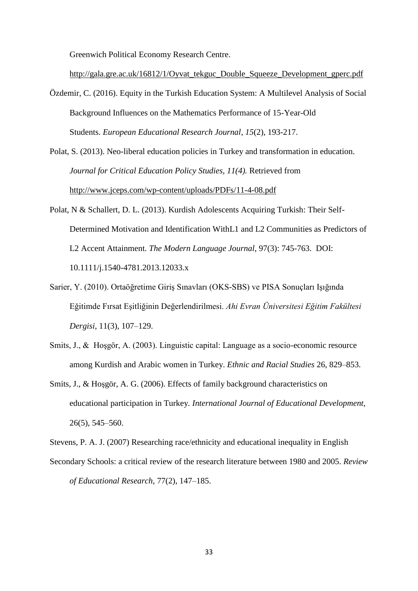Greenwich Political Economy Research Centre.

http://gala.gre.ac.uk/16812/1/Oyvat tekguc\_Double\_Squeeze\_Development\_gperc.pdf

- Özdemir, C. (2016). Equity in the Turkish Education System: A Multilevel Analysis of Social Background Influences on the Mathematics Performance of 15-Year-Old Students. *European Educational Research Journal*, *15*(2), 193-217.
- Polat, S. (2013). Neo-liberal education policies in Turkey and transformation in education. *Journal for Critical Education Policy Studies, 11(4).* Retrieved from <http://www.jceps.com/wp-content/uploads/PDFs/11-4-08.pdf>
- Polat, N & Schallert, D. L. (2013). Kurdish Adolescents Acquiring Turkish: Their Self-Determined Motivation and Identification WithL1 and L2 Communities as Predictors of L2 Accent Attainment. *The Modern Language Journal*, 97(3): 745-763. DOI: 10.1111/j.1540-4781.2013.12033.x
- Sarier, Y. (2010). Ortaöğretime Giriş Sınavları (OKS-SBS) ve PISA Sonuçları Işığında Eğitimde Fırsat Eşitliğinin Değerlendirilmesi. *Ahi Evran Üniversitesi Eğitim Fakültesi Dergisi*, 11(3), 107–129.
- Smits, J., & Hoşgör, A. (2003). Linguistic capital: Language as a socio-economic resource among Kurdish and Arabic women in Turkey. *Ethnic and Racial Studies* 26, 829–853.
- Smits, J., & Hoşgör, A. G. (2006). Effects of family background characteristics on educational participation in Turkey*. International Journal of Educational Development,* 26(5), 545–560.
- Stevens, P. A. J. (2007) Researching race/ethnicity and educational inequality in English
- Secondary Schools: a critical review of the research literature between 1980 and 2005. *Review of Educational Research*, 77(2), 147–185.